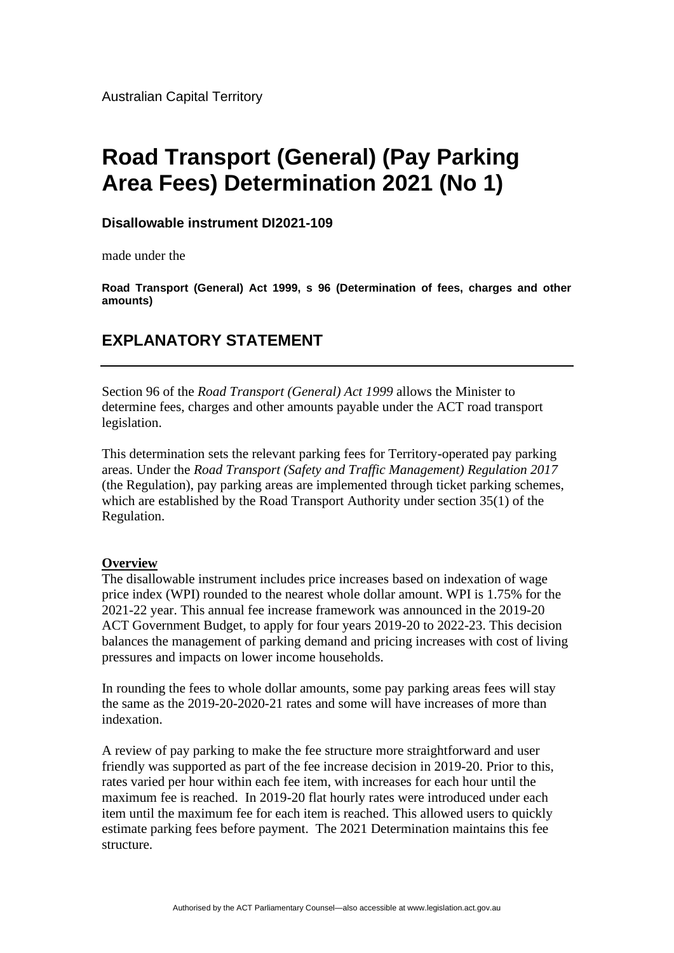Australian Capital Territory

# **Road Transport (General) (Pay Parking Area Fees) Determination 2021 (No 1)**

### **Disallowable instrument DI2021-109**

made under the

**Road Transport (General) Act 1999, s 96 (Determination of fees, charges and other amounts)**

## **EXPLANATORY STATEMENT**

Section 96 of the *Road Transport (General) Act 1999* allows the Minister to determine fees, charges and other amounts payable under the ACT road transport legislation.

This determination sets the relevant parking fees for Territory-operated pay parking areas. Under the *Road Transport (Safety and Traffic Management) Regulation 2017* (the Regulation), pay parking areas are implemented through ticket parking schemes, which are established by the Road Transport Authority under section 35(1) of the Regulation.

#### **Overview**

The disallowable instrument includes price increases based on indexation of wage price index (WPI) rounded to the nearest whole dollar amount. WPI is 1.75% for the 2021-22 year. This annual fee increase framework was announced in the 2019-20 ACT Government Budget, to apply for four years 2019-20 to 2022-23. This decision balances the management of parking demand and pricing increases with cost of living pressures and impacts on lower income households.

In rounding the fees to whole dollar amounts, some pay parking areas fees will stay the same as the 2019-20-2020-21 rates and some will have increases of more than indexation.

A review of pay parking to make the fee structure more straightforward and user friendly was supported as part of the fee increase decision in 2019-20. Prior to this, rates varied per hour within each fee item, with increases for each hour until the maximum fee is reached. In 2019-20 flat hourly rates were introduced under each item until the maximum fee for each item is reached. This allowed users to quickly estimate parking fees before payment. The 2021 Determination maintains this fee structure.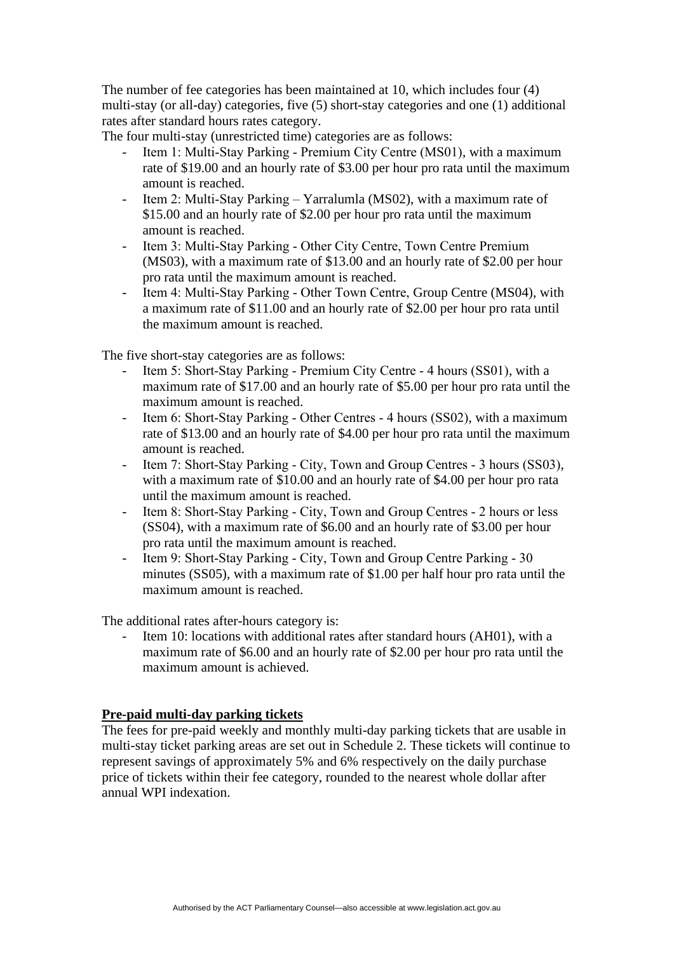The number of fee categories has been maintained at 10, which includes four (4) multi-stay (or all-day) categories, five (5) short-stay categories and one (1) additional rates after standard hours rates category.

The four multi-stay (unrestricted time) categories are as follows:

- Item 1: Multi-Stay Parking Premium City Centre (MS01), with a maximum rate of \$19.00 and an hourly rate of \$3.00 per hour pro rata until the maximum amount is reached.
- Item 2: Multi-Stay Parking Yarralumla (MS02), with a maximum rate of \$15.00 and an hourly rate of \$2.00 per hour pro rata until the maximum amount is reached.
- Item 3: Multi-Stay Parking Other City Centre, Town Centre Premium (MS03), with a maximum rate of \$13.00 and an hourly rate of \$2.00 per hour pro rata until the maximum amount is reached.
- Item 4: Multi-Stay Parking Other Town Centre, Group Centre (MS04), with a maximum rate of \$11.00 and an hourly rate of \$2.00 per hour pro rata until the maximum amount is reached.

The five short-stay categories are as follows:

- Item 5: Short-Stay Parking Premium City Centre 4 hours (SS01), with a maximum rate of \$17.00 and an hourly rate of \$5.00 per hour pro rata until the maximum amount is reached.
- Item 6: Short-Stay Parking Other Centres 4 hours (SS02), with a maximum rate of \$13.00 and an hourly rate of \$4.00 per hour pro rata until the maximum amount is reached.
- Item 7: Short-Stay Parking City, Town and Group Centres 3 hours (SS03), with a maximum rate of \$10.00 and an hourly rate of \$4.00 per hour pro rata until the maximum amount is reached.
- Item 8: Short-Stay Parking City, Town and Group Centres 2 hours or less (SS04), with a maximum rate of \$6.00 and an hourly rate of \$3.00 per hour pro rata until the maximum amount is reached.
- Item 9: Short-Stay Parking City, Town and Group Centre Parking 30 minutes (SS05), with a maximum rate of \$1.00 per half hour pro rata until the maximum amount is reached.

The additional rates after-hours category is:

Item 10: locations with additional rates after standard hours (AH01), with a maximum rate of \$6.00 and an hourly rate of \$2.00 per hour pro rata until the maximum amount is achieved.

## **Pre-paid multi-day parking tickets**

The fees for pre-paid weekly and monthly multi-day parking tickets that are usable in multi-stay ticket parking areas are set out in Schedule 2. These tickets will continue to represent savings of approximately 5% and 6% respectively on the daily purchase price of tickets within their fee category, rounded to the nearest whole dollar after annual WPI indexation.